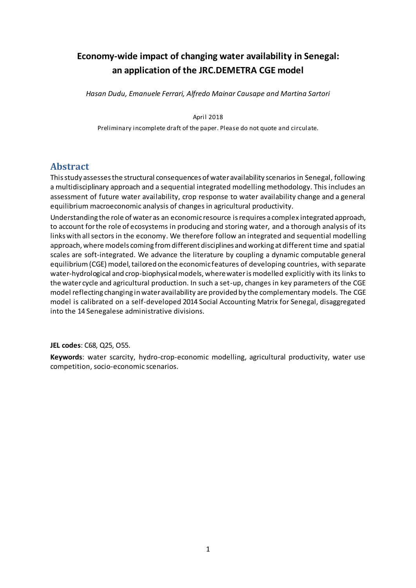# **Economy-wide impact of changing water availability in Senegal: an application of the JRC.DEMETRA CGE model**

*Hasan Dudu, Emanuele Ferrari, Alfredo Mainar Causape and Martina Sartori*

April 2018

Preliminary incomplete draft of the paper. Please do not quote and circulate.

## **Abstract**

This study assesses the structural consequences of water availability scenarios in Senegal, following a multidisciplinary approach and a sequential integrated modelling methodology. This includes an assessment of future water availability, crop response to water availability change and a general equilibrium macroeconomic analysis of changes in agricultural productivity.

Understanding the role of water as an economic resource isrequires a complex integrated approach, to account for the role of ecosystems in producing and storing water, and a thorough analysis of its links with all sectors in the economy. We therefore follow an integrated and sequential modelling approach, where models coming from different disciplines and working at different time and spatial scales are soft-integrated. We advance the literature by coupling a dynamic computable general equilibrium (CGE) model, tailored on the economic features of developing countries, with separate water-hydrological and crop-biophysical models, where water is modelled explicitly with its links to the water cycle and agricultural production. In such a set-up, changes in key parameters of the CGE model reflecting changing in water availability are provided by the complementary models. The CGE model is calibrated on a self-developed 2014 Social Accounting Matrix for Senegal, disaggregated into the 14 Senegalese administrative divisions.

**JEL codes**: C68, Q25, O55.

**Keywords**: water scarcity, hydro-crop-economic modelling, agricultural productivity, water use competition, socio-economic scenarios.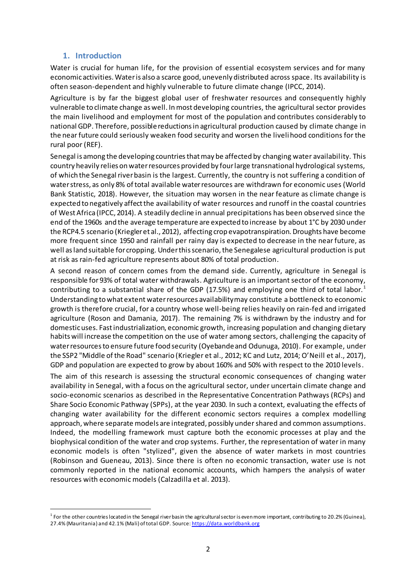## **1. Introduction**

 $\overline{a}$ 

Water is crucial for human life, for the provision of essential ecosystem services and for many economic activities. Water is also a scarce good, unevenly distributed across space. Its availability is often season-dependent and highly vulnerable to future climate change (IPCC, 2014).

Agriculture is by far the biggest global user of freshwater resources and consequently highly vulnerable to climate change as well. In most developing countries, the agricultural sector provides the main livelihood and employment for most of the population and contributes considerably to national GDP. Therefore, possible reductions in agricultural production caused by climate change in the near future could seriously weaken food security and worsen the livelihood conditions for the rural poor (REF).

Senegal is among the developing countriesthat may be affected by changing water availability. This country heavily relies on water resources provided by four large transnational hydrological systems, of which the Senegal river basin is the largest. Currently, the country is not suffering a condition of water stress, as only 8% of total available water resources are withdrawn for economic uses (World Bank Statistic, 2018). However, the situation may worsen in the near feature as climate change is expected to negatively affect the availability of water resources and runoff in the coastal countries of West Africa (IPCC, 2014). A steadily decline in annual precipitations has been observed since the end of the 1960s and the average temperature are expected to increase by about 1°C by 2030 under the RCP4.5 scenario (Kriegler et al., 2012), affecting crop evapotranspiration. Droughts have become more frequent since 1950 and rainfall per rainy day is expected to decrease in the near future, as well as land suitable for cropping. Under this scenario, the Senegalese agricultural production is put at risk as rain-fed agriculture represents about 80% of total production.

A second reason of concern comes from the demand side. Currently, agriculture in Senegal is responsible for 93% of total water withdrawals. Agriculture is an important sector of the economy, contributing to a substantial share of the GDP (17.5%) and employing one third of total labor.<sup>1</sup> Understanding to what extent water resources availability may constitute a bottleneck to economic growth is therefore crucial, for a country whose well-being relies heavily on rain-fed and irrigated agriculture (Roson and Damania, 2017). The remaining 7% is withdrawn by the industry and for domestic uses. Fast industrialization, economic growth, increasing population and changing dietary habits will increase the competition on the use of water among sectors, challenging the capacity of water resources to ensure future food security (Oyebande and Odunuga, 2010). For example, under the SSP2 "Middle of the Road" scenario (Kriegler et al., 2012; KC and Lutz, 2014; O'Neill et al., 2017), GDP and population are expected to grow by about 160% and 50% with respect to the 2010 levels.

The aim of this research is assessing the structural economic consequences of changing water availability in Senegal, with a focus on the agricultural sector, under uncertain climate change and socio-economic scenarios as described in the Representative Concentration Pathways (RCPs) and Share Socio Economic Pathway (SPPs), at the year 2030. In such a context, evaluating the effects of changing water availability for the different economic sectors requires a complex modelling approach, where separate models are integrated, possibly under shared and common assumptions. Indeed, the modelling framework must capture both the economic processes at play and the biophysical condition of the water and crop systems. Further, the representation of water in many economic models is often "stylized", given the absence of water markets in most countries (Robinson and Gueneau, 2013). Since there is often no economic transaction, water use is not commonly reported in the national economic accounts, which hampers the analysis of water resources with economic models (Calzadilla et al. 2013).

<sup>&</sup>lt;sup>1</sup> For the other countries located in the Senegal river basin the agricultural sector is even more important, contributing to 20.2% (Guinea), 27.4% (Mauritania) and 42.1% (Mali) of total GDP. Sou[rce: https://data.worldban](https://data.worldbank.org/)k.org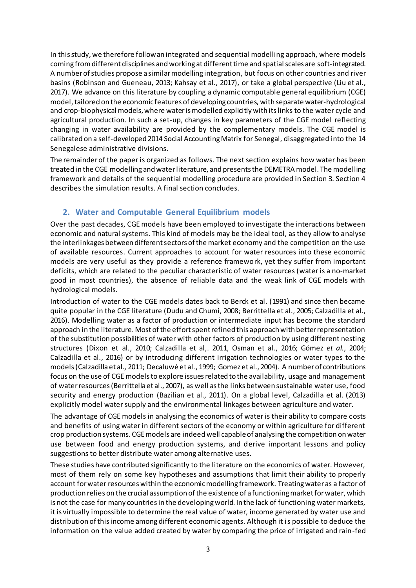In this study, we therefore followan integrated and sequential modelling approach, where models coming from different disciplines and working at different time and spatial scales are soft-integrated. A number of studies propose a similar modelling integration, but focus on other countries and river basins (Robinson and Gueneau, 2013; Kahsay et al., 2017), or take a global perspective (Liu et al., 2017). We advance on this literature by coupling a dynamic computable general equilibrium (CGE) model, tailored on the economic features of developing countries, with separate water-hydrological and crop-biophysical models, where water is modelled explicitly with its links to the water cycle and agricultural production. In such a set-up, changes in key parameters of the CGE model reflecting changing in water availability are provided by the complementary models. The CGE model is calibrated on a self-developed 2014 Social Accounting Matrix for Senegal, disaggregated into the 14 Senegalese administrative divisions.

The remainder of the paper is organized as follows. The next section explains how water has been treated in the CGE modelling and waterliterature, and presents the DEMETRA model. The modelling framework and details of the sequential modelling procedure are provided in Section 3. Section 4 describes the simulation results. A final section concludes.

## **2. Water and Computable General Equilibrium models**

Over the past decades, CGE models have been employed to investigate the interactions between economic and natural systems. This kind of models may be the ideal tool, as they allow to analyse the interlinkages between different sectors of the market economy and the competition on the use of available resources. Current approaches to account for water resources into these economic models are very useful as they provide a reference framework, yet they suffer from important deficits, which are related to the peculiar characteristic of water resources (water is a no-market good in most countries), the absence of reliable data and the weak link of CGE models with hydrological models.

Introduction of water to the CGE models dates back to Berck et al. (1991) and since then became quite popular in the CGE literature (Dudu and Chumi, 2008; Berrittella et al., 2005; Calzadilla et al., 2016). Modelling water as a factor of production or intermediate input has become the standard approach in the literature. Most of the effort spent refined this approach with better representation of the substitution possibilities of water with other factors of production by using different nesting structures (Dixon et al*.*, 2010; Calzadilla et al,. 2011, Osman et al*.*, 2016; Gómez *et al.*, 2004; Calzadilla et al., 2016) or by introducing different irrigation technologies or water types to the models (Calzadilla et al*.,* 2011; Decaluwé et al*.*, 1999; Gomez et al., 2004). A number of contributions focus on the use of CGE models to explore issues related to the availability, usage and management of water resources (Berrittella et al., 2007), as well as the links between sustainable water use, food security and energy production (Bazilian et al., 2011). On a global level, Calzadilla et al. (2013) explicitly model water supply and the environmental linkages between agriculture and water.

The advantage of CGE models in analysing the economics of water is their ability to compare costs and benefits of using water in different sectors of the economy or within agriculture for different crop production systems. CGE models are indeed well capable of analysing the competition on water use between food and energy production systems, and derive important lessons and policy suggestions to better distribute water among alternative uses.

These studies have contributed significantly to the literature on the economics of water. However, most of them rely on some key hypotheses and assumptions that limit their ability to properly account for water resources within the economic modelling framework. Treating water as a factor of production relies on the crucial assumption of the existence of a functioning market for water, which is not the case for many countriesin the developing world. In the lack of functioning water markets, it is virtually impossible to determine the real value of water, income generated by water use and distribution of this income among different economic agents. Although it is possible to deduce the information on the value added created by water by comparing the price of irrigated and rain-fed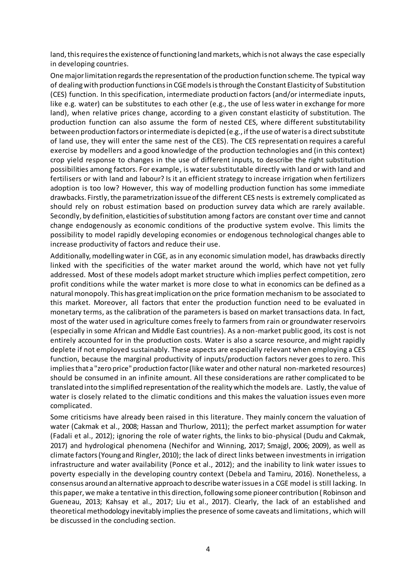land, this requires the existence of functioning land markets, which is not always the case especially in developing countries.

One major limitation regards the representation of the production function scheme. The typical way of dealing with production functions in CGE models is through the Constant Elasticity of Substitution (CES) function. In this specification, intermediate production factors (and/or intermediate inputs, like e.g. water) can be substitutes to each other (e.g., the use of less water in exchange for more land), when relative prices change, according to a given constant elasticity of substitution. The production function can also assume the form of nested CES, where different substitutability between production factors or intermediate is depicted (e.g., if the use of water is a direct substitute of land use, they will enter the same nest of the CES). The CES representation requires a careful exercise by modellers and a good knowledge of the production technologies and (in this context) crop yield response to changes in the use of different inputs, to describe the right substitution possibilities among factors. For example, is water substitutable directly with land or with land and fertilisers or with land and labour? Is it an efficient strategy to increase irrigation when fertilizers adoption is too low? However, this way of modelling production function has some immediate drawbacks. Firstly, the parametrization issue of the different CES nests is extremely complicated as should rely on robust estimation based on production survey data which are rarely available. Secondly, by definition, elasticities of substitution among factors are constant over time and cannot change endogenously as economic conditions of the productive system evolve. This limits the possibility to model rapidly developing economies or endogenous technological changes able to increase productivity of factors and reduce their use.

Additionally, modelling water in CGE, as in any economic simulation model, has drawbacks directly linked with the specificities of the water market around the world, which have not yet fully addressed. Most of these models adopt market structure which implies perfect competition, zero profit conditions while the water market is more close to what in economics can be defined as a natural monopoly. This has great implication on the price formation mechanism to be associated to this market. Moreover, all factors that enter the production function need to be evaluated in monetary terms, as the calibration of the parameters is based on market transactions data. In fact, most of the water used in agriculture comes freely to farmers from rain or groundwater reservoirs (especially in some African and Middle East countries). As a non-market public good, its cost is not entirely accounted for in the production costs. Water is also a scarce resource, and might rapidly deplete if not employed sustainably. These aspects are especially relevant when employing a CES function, because the marginal productivity of inputs/production factors never goes to zero. This implies that a "zero price" production factor (like water and other natural non-marketed resources) should be consumed in an infinite amount. All these considerations are rather complicated to be translated into the simplified representation of the reality which the models are. Lastly, the value of water is closely related to the climatic conditions and this makes the valuation issues even more complicated.

Some criticisms have already been raised in this literature. They mainly concern the valuation of water (Cakmak et al., 2008; Hassan and Thurlow, 2011); the perfect market assumption for water (Fadali et al., 2012); ignoring the role of water rights, the links to bio-physical (Dudu and Cakmak, 2017) and hydrological phenomena (Nechifor and Winning, 2017; Smajgl, 2006; 2009), as well as climate factors (Young and Ringler, 2010); the lack of direct links between investments in irrigation infrastructure and water availability (Ponce et al., 2012); and the inability to link water issues to poverty especially in the developing country context (Debela and Tamiru, 2016). Nonetheless, a consensus around an alternative approach to describe water issues in a CGE model is still lacking. In this paper, we make a tentative in this direction, following some pioneer contribution (Robinson and Gueneau, 2013; Kahsay et al., 2017; Liu et al., 2017). Clearly, the lack of an established and theoretical methodology inevitably implies the presence of some caveats and limitations, which will be discussed in the concluding section.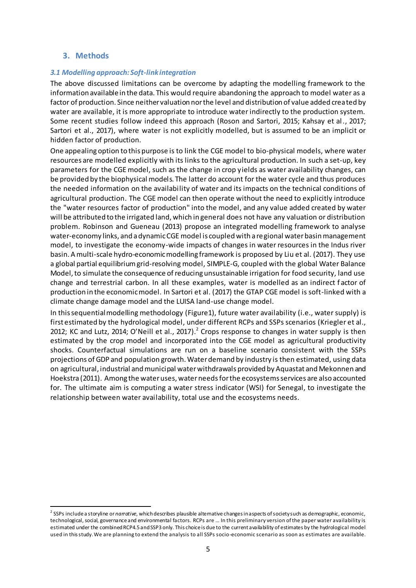## **3. Methods**

### *3.1 Modelling approach: Soft-link integration*

The above discussed limitations can be overcome by adapting the modelling framework to the information available in the data. This would require abandoning the approach to model water as a factor of production. Since neither valuation nor the level and distribution of value added created by water are available, it is more appropriate to introduce water indirectly to the production system. Some recent studies follow indeed this approach (Roson and Sartori, 2015; Kahsay et al *.*, 2017; Sartori et al., 2017), where water is not explicitly modelled, but is assumed to be an implicit or hidden factor of production.

One appealing option to this purpose is to link the CGE model to bio-physical models, where water resources are modelled explicitly with its links to the agricultural production. In such a set-up, key parameters for the CGE model, such as the change in crop yields as water availability changes, can be provided by the biophysical models. The latter do account for the water cycle and thus produces the needed information on the availability of water and its impacts on the technical conditions of agricultural production. The CGE model can then operate without the need to explicitly introduce the "water resources factor of production" into the model, and any value added created by water will be attributed to the irrigated land, which in general does not have any valuation or distribution problem. Robinson and Gueneau (2013) propose an integrated modelling framework to analyse water-economy links, and a dynamic CGE model is coupled with a regional water basin management model, to investigate the economy-wide impacts of changes in water resources in the Indus river basin. A multi-scale hydro-economic modelling framework is proposed by Liu et al. (2017). They use a global partial equilibrium grid-resolving model, SIMPLE-G, coupled with the global Water Balance Model, to simulate the consequence of reducing unsustainable irrigation for food security, land use change and terrestrial carbon. In all these examples, water is modelled as an indirect f actor of production in the economic model. In Sartori et al. (2017) the GTAP CGE model is soft-linked with a climate change damage model and the LUISA land-use change model.

In this sequential modelling methodology (Figure1), future water availability (i.e., water supply) is first estimated by the hydrological model, under different RCPs and SSPs scenarios (Kriegler et al., 2012; KC and Lutz, 2014; O'Neill et al., 2017).<sup>2</sup> Crops response to changes in water supply is then estimated by the crop model and incorporated into the CGE model as agricultural productivity shocks. Counterfactual simulations are run on a baseline scenario consistent with the SSPs projections of GDP and population growth.Water demand by industry is then estimated, using data on agricultural, industrial and municipal water withdrawals provided by Aquastat and Mekonnen and Hoekstra (2011). Among the water uses, water needsfor the ecosystemsservices are also accounted for. The ultimate aim is computing a water stress indicator (WSI) for Senegal, to investigate the relationship between water availability, total use and the ecosystems needs.

 $\overline{a}$ 2 SSPs include a storyline or *narrative*, which describes plausible alternative changes in aspects of society such as demographic, economic, technological, social, governance and environmental factors. RCPs are … In this preliminary version of the paper water availability is estimated under the combined RCP4.5 and SSP3 only. This choice is due to the current availability of estimates by the hydrological model used in this study. We are planning to extend the analysis to all SSPs socio-economic scenario as soon as estimates are available.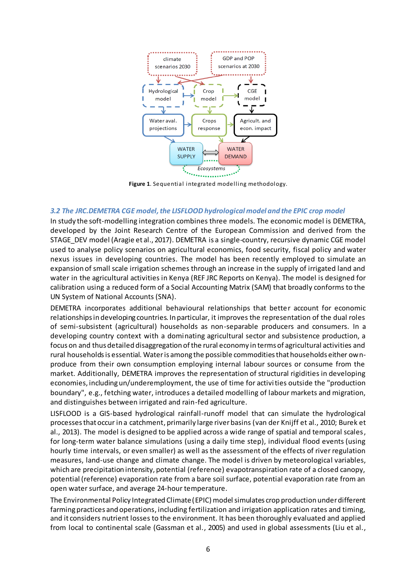

**Figure 1**. Sequential integrated modelling methodology.

#### *3.2 The JRC.DEMETRA CGE model, the LISFLOOD hydrological model and the EPIC crop model*

In study the soft-modelling integration combines three models. The economic model is DEMETRA, developed by the Joint Research Centre of the European Commission and derived from the STAGE\_DEV model (Aragie et al., 2017). DEMETRA is a single-country, recursive dynamic CGE model used to analyse policy scenarios on agricultural economics, food security, fiscal policy and water nexus issues in developing countries. The model has been recently employed to simulate an expansion of small scale irrigation schemes through an increase in the supply of irrigated land and water in the agricultural activities in Kenya (REF JRC Reports on Kenya). The model is designed for calibration using a reduced form of a Social Accounting Matrix (SAM) that broadly conforms to the UN System of National Accounts (SNA).

DEMETRA incorporates additional behavioural relationships that better account for economic relationships in developing countries. In particular, it improves the representation of the dual roles of semi-subsistent (agricultural) households as non-separable producers and consumers. In a developing country context with a dominating agricultural sector and subsistence production, a focus on and thus detailed disaggregation of the rural economy in terms of agricultural activities and rural households is essential. Water is among the possible commodities that households either ownproduce from their own consumption employing internal labour sources or consume from the market. Additionally, DEMETRA improves the representation of structural rigidities in developing economies, including un/underemployment, the use of time for activities outside the "production boundary", e.g., fetching water, introduces a detailed modelling of labour markets and migration, and distinguishes between irrigated and rain-fed agriculture.

LISFLOOD is a GIS-based hydrological rainfall-runoff model that can simulate the hydrological processes that occur in a catchment, primarily large river basins (van der Knijff et al., 2010; Burek et al., 2013). The model is designed to be applied across a wide range of spatial and temporal scales, for long-term water balance simulations (using a daily time step), individual flood events (using hourly time intervals, or even smaller) as well as the assessment of the effects of river regulation measures, land-use change and climate change. The model is driven by meteorological variables, which are precipitation intensity, potential (reference) evapotranspiration rate of a closed canopy, potential (reference) evaporation rate from a bare soil surface, potential evaporation rate from an open water surface, and average 24-hour temperature.

The Environmental Policy Integrated Climate (EPIC) model simulates crop production under different farming practices and operations, including fertilization and irrigation application rates and timing, and it considers nutrient losses to the environment. It has been thoroughly evaluated and applied from local to continental scale (Gassman et al., 2005) and used in global assessments (Liu et al.,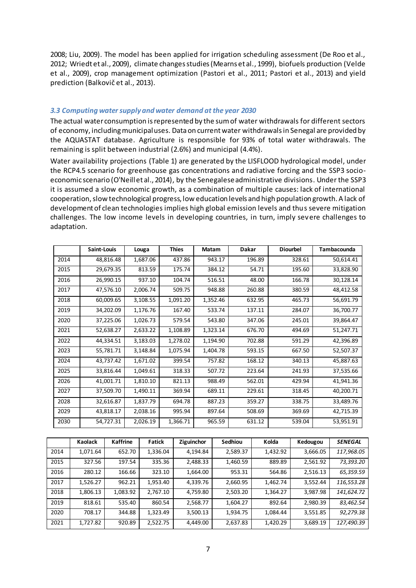2008; Liu, 2009). The model has been applied for irrigation scheduling assessment (De Roo et al., 2012; Wriedt et al., 2009), climate changes studies (Mearns et al., 1999), biofuels production (Velde et al., 2009), crop management optimization (Pastori et al., 2011; Pastori et al., 2013) and yield prediction (Balkovič et al., 2013).

#### *3.3 Computing water supply and water demand at the year 2030*

The actual water consumption is represented by the sum of water withdrawals for different sectors of economy, including municipal uses. Data on current water withdrawals in Senegal are provided by the AQUASTAT database. Agriculture is responsible for 93% of total water withdrawals. The remaining is split between industrial (2.6%) and municipal (4.4%).

Water availability projections (Table 1) are generated by the LISFLOOD hydrological model, under the RCP4.5 scenario for greenhouse gas concentrations and radiative forcing and the SSP3 socioeconomic scenario (O'Neill et al., 2014), by the Senegalese administrative divisions. Under the SSP3 it is assumed a slow economic growth, as a combination of multiple causes: lack of international cooperation, slow technological progress, low education levels and high population growth. A lack of development of clean technologies implies high global emission levels and thus severe mitigation challenges. The low income levels in developing countries, in turn, imply severe challenges to adaptation.

|      | Saint-Louis | Louga    | <b>Thies</b> | <b>Matam</b> | <b>Dakar</b> | <b>Diourbel</b> | <b>Tambacounda</b> |
|------|-------------|----------|--------------|--------------|--------------|-----------------|--------------------|
| 2014 | 48,816.48   | 1,687.06 | 437.86       | 943.17       | 196.89       | 328.61          | 50,614.41          |
| 2015 | 29,679.35   | 813.59   | 175.74       | 384.12       | 54.71        | 195.60          | 33,828.90          |
| 2016 | 26,990.15   | 937.10   | 104.74       | 516.51       | 48.00        | 166.78          | 30,128.14          |
| 2017 | 47,576.10   | 2,006.74 | 509.75       | 948.88       | 260.88       | 380.59          | 48,412.58          |
| 2018 | 60,009.65   | 3,108.55 | 1,091.20     | 1,352.46     | 632.95       | 465.73          | 56,691.79          |
| 2019 | 34,202.09   | 1,176.76 | 167.40       | 533.74       | 137.11       | 284.07          | 36,700.77          |
| 2020 | 37,225.06   | 1,026.73 | 579.54       | 543.80       | 347.06       | 245.01          | 39,864.47          |
| 2021 | 52,638.27   | 2,633.22 | 1,108.89     | 1,323.14     | 676.70       | 494.69          | 51,247.71          |
| 2022 | 44,334.51   | 3,183.03 | 1,278.02     | 1,194.90     | 702.88       | 591.29          | 42,396.89          |
| 2023 | 55,781.71   | 3,148.84 | 1,075.94     | 1,404.78     | 593.15       | 667.50          | 52,507.37          |
| 2024 | 43,737.42   | 1,671.02 | 399.54       | 757.82       | 168.12       | 340.13          | 45,887.63          |
| 2025 | 33,816.44   | 1,049.61 | 318.33       | 507.72       | 223.64       | 241.93          | 37,535.66          |
| 2026 | 41,001.71   | 1,810.10 | 821.13       | 988.49       | 562.01       | 429.94          | 41,941.36          |
| 2027 | 37,509.70   | 1,490.11 | 369.94       | 689.11       | 229.61       | 318.45          | 40,200.71          |
| 2028 | 32,616.87   | 1,837.79 | 694.78       | 887.23       | 359.27       | 338.75          | 33,489.76          |
| 2029 | 43,818.17   | 2,038.16 | 995.94       | 897.64       | 508.69       | 369.69          | 42,715.39          |
| 2030 | 54,727.31   | 2,026.19 | 1,366.71     | 965.59       | 631.12       | 539.04          | 53,951.91          |

|      | Kaolack  | <b>Kaffrine</b> | <b>Fatick</b> | Ziguinchor | <b>Sedhiou</b> | Kolda    | Kedougou | <b>SENEGAL</b> |
|------|----------|-----------------|---------------|------------|----------------|----------|----------|----------------|
| 2014 | 1,071.64 | 652.70          | 1,336.04      | 4,194.84   | 2,589.37       | 1,432.92 | 3,666.05 | 117,968.05     |
| 2015 | 327.56   | 197.54          | 335.36        | 2,488.33   | 1,460.59       | 889.89   | 2,561.92 | 73,393.20      |
| 2016 | 280.12   | 166.66          | 323.10        | 1.664.00   | 953.31         | 564.86   | 2,516.13 | 65,359.59      |
| 2017 | 1,526.27 | 962.21          | 1,953.40      | 4.339.76   | 2,660.95       | 1.462.74 | 3,552.44 | 116,553.28     |
| 2018 | 1,806.13 | 1.083.92        | 2.767.10      | 4.759.80   | 2,503.20       | 1.364.27 | 3.987.98 | 141,624.72     |
| 2019 | 818.61   | 535.40          | 860.54        | 2,568.77   | 1,604.27       | 892.64   | 2,980.39 | 83,462.54      |
| 2020 | 708.17   | 344.88          | 1,323.49      | 3,500.13   | 1,934.75       | 1,084.44 | 3,551.85 | 92,279.38      |
| 2021 | 1,727.82 | 920.89          | 2,522.75      | 4,449.00   | 2,637.83       | 1,420.29 | 3,689.19 | 127,490.39     |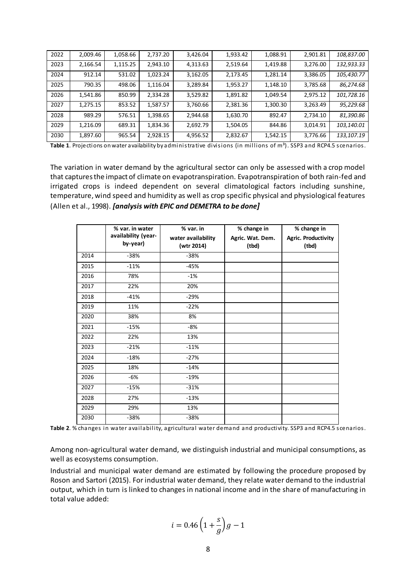| 2022 | 2,009.46 | 1,058.66 | 2,737.20 | 3,426.04 | 1,933.42 | 1,088.91 | 2,901.81 | 108,837.00 |
|------|----------|----------|----------|----------|----------|----------|----------|------------|
| 2023 | 2,166.54 | 1,115.25 | 2,943.10 | 4,313.63 | 2,519.64 | 1,419.88 | 3,276.00 | 132,933.33 |
| 2024 | 912.14   | 531.02   | 1,023.24 | 3,162.05 | 2,173.45 | 1,281.14 | 3,386.05 | 105,430.77 |
| 2025 | 790.35   | 498.06   | 1,116.04 | 3,289.84 | 1,953.27 | 1,148.10 | 3,785.68 | 86,274.68  |
| 2026 | 1,541.86 | 850.99   | 2,334.28 | 3,529.82 | 1,891.82 | 1,049.54 | 2,975.12 | 101,728.16 |
| 2027 | 1,275.15 | 853.52   | 1,587.57 | 3,760.66 | 2,381.36 | 1,300.30 | 3,263.49 | 95,229.68  |
| 2028 | 989.29   | 576.51   | 1,398.65 | 2,944.68 | 1,630.70 | 892.47   | 2,734.10 | 81,390.86  |
| 2029 | 1,216.09 | 689.31   | 1,834.36 | 2,692.79 | 1,504.05 | 844.86   | 3,014.91 | 103,140.01 |
| 2030 | 1,897.60 | 965.54   | 2,928.15 | 4,956.52 | 2,832.67 | 1,542.15 | 3,776.66 | 133,107.19 |

Table 1. Projections on water availability by administrative divisions (in millions of m<sup>3</sup>). SSP3 and RCP4.5 scenarios.

The variation in water demand by the agricultural sector can only be assessed with a crop model that captures the impact of climate on evapotranspiration. Evapotranspiration of both rain-fed and irrigated crops is indeed dependent on several climatological factors including sunshine, temperature, wind speed and humidity as well as crop specific physical and physiological features (Allen et al., 1998). *[analysis with EPIC and DEMETRA to be done]*

|      | % var. in water     | % var. in          | % change in      | % change in         |  |
|------|---------------------|--------------------|------------------|---------------------|--|
|      | availability (year- | water availability | Agric. Wat. Dem. | Agric. Productivity |  |
|      | by-year)            | (wtr 2014)         | (tbd)            | (tbd)               |  |
| 2014 | $-38%$              | $-38%$             |                  |                     |  |
| 2015 | $-11%$              | $-45%$             |                  |                     |  |
| 2016 | 78%                 | $-1%$              |                  |                     |  |
| 2017 | 22%                 | 20%                |                  |                     |  |
| 2018 | $-41%$              | $-29%$             |                  |                     |  |
| 2019 | 11%                 | $-22%$             |                  |                     |  |
| 2020 | 38%                 | 8%                 |                  |                     |  |
| 2021 | $-15%$              | -8%                |                  |                     |  |
| 2022 | 22%                 | 13%                |                  |                     |  |
| 2023 | $-21%$              | $-11%$             |                  |                     |  |
| 2024 | $-18%$              | $-27%$             |                  |                     |  |
| 2025 | 18%                 | $-14%$             |                  |                     |  |
| 2026 | -6%                 | $-19%$             |                  |                     |  |
| 2027 | $-15%$              | $-31%$             |                  |                     |  |
| 2028 | 27%                 | $-13%$             |                  |                     |  |
| 2029 | 29%                 | 13%                |                  |                     |  |
| 2030 | $-38%$              | $-38%$             |                  |                     |  |

**Table 2**. % changes in water availability, agricultural water demand and productivity. SSP3 and RCP4.5 scenarios.

Among non-agricultural water demand, we distinguish industrial and municipal consumptions, as well as ecosystems consumption.

Industrial and municipal water demand are estimated by following the procedure proposed by Roson and Sartori (2015). For industrial water demand, they relate water demand to the industrial output, which in turn is linked to changes in national income and in the share of manufacturing in total value added:

$$
i = 0.46 \left( 1 + \frac{s}{g} \right) g - 1
$$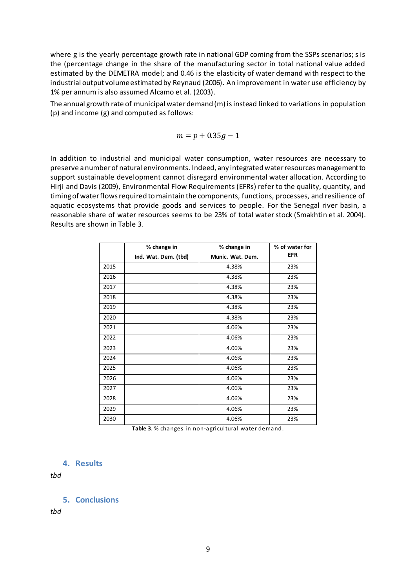where g is the yearly percentage growth rate in national GDP coming from the SSPs scenarios; s is the (percentage change in the share of the manufacturing sector in total national value added estimated by the DEMETRA model; and 0.46 is the elasticity of water demand with respect to the industrial output volume estimated by Reynaud (2006). An improvement in water use efficiency by 1% per annum is also assumed Alcamo et al. (2003).

The annual growth rate of municipal water demand (m) isinstead linked to variations in population (p) and income (g) and computed as follows:

$$
m = p + 0.35g - 1
$$

In addition to industrial and municipal water consumption, water resources are necessary to preserve a number of natural environments. Indeed, any integrated water resources management to support sustainable development cannot disregard environmental water allocation. According to Hirji and Davis (2009), Environmental Flow Requirements (EFRs) refer to the quality, quantity, and timing of water flows required to maintain the components, functions, processes, and resilience of aquatic ecosystems that provide goods and services to people. For the Senegal river basin, a reasonable share of water resources seems to be 23% of total water stock (Smakhtin et al. 2004). Results are shown in Table 3.

|      | % change in          | % change in      | % of water for |
|------|----------------------|------------------|----------------|
|      | Ind. Wat. Dem. (tbd) | Munic. Wat. Dem. | <b>EFR</b>     |
| 2015 |                      | 4.38%            | 23%            |
| 2016 |                      | 4.38%            | 23%            |
| 2017 |                      | 4.38%            | 23%            |
| 2018 |                      | 4.38%            | 23%            |
| 2019 |                      | 4.38%            | 23%            |
| 2020 |                      | 4.38%            | 23%            |
| 2021 |                      | 4.06%            | 23%            |
| 2022 |                      | 4.06%            | 23%            |
| 2023 |                      | 4.06%            | 23%            |
| 2024 |                      | 4.06%            | 23%            |
| 2025 |                      | 4.06%            | 23%            |
| 2026 |                      | 4.06%            | 23%            |
| 2027 |                      | 4.06%            | 23%            |
| 2028 |                      | 4.06%            | 23%            |
| 2029 |                      | 4.06%            | 23%            |
| 2030 |                      | 4.06%            | 23%            |

**Table 3**. % changes in non-agricultural water demand.

#### **4. Results**

*tbd*

#### **5. Conclusions**

*tbd*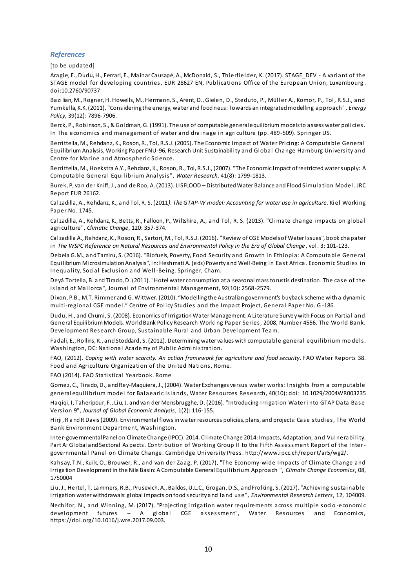#### *References*

[to be updated]

Aragie, E., Dudu, H., Ferrari, E., Mainar Causapé, A., McDonald, S., Thierfielder, K. (2017). STAGE\_DEV - A variant of the STAGE model for developing countries, EUR 28627 EN, Publications Office of the European Union, Luxembourg . doi:10.2760/90737

Bazilian, M., Rogner, H. Howells, M., Hermann, S., Arent, D., Gielen, D., Steduto, P., Müller A., Komor, P., Tol, R.S.J., and Yumkella, K.K. (2011). "Considering the energy, water and food neus: Towards an integrated modelling approach" , *Energy Policy*, 39(12): 7896-7906.

Berck, P., Robinson, S., & Goldman, G. (1991). The use of computable general equilibrium models to assess water policies. In The economics and management of water and drainage in agriculture (pp. 489-509). Springer US.

Berrittella, M., Rehdanz, K., Roson, R., Tol, R.S.J. (2005). The Economic Impact of Water Pricing: A Computable General Equilibrium Analysis, Working Paper FNU-96, Research Unit Sustainability and Global Change Hamburg University and Centre for Marine and Atmospheric Science.

Berrittella, M., Hoekstra A.Y., Rehdanz, K., Roson, R., Tol, R.S.J., (2007). "The Economic Impact of restricted water supply: A Computable General Equilibrium Analysis", *Water Research*, 41(8): 1799-1813.

Burek, P, van der Kniff, J., and de Roo, A. (2013). LISFLOOD – Distributed Water Balance and Flood Simulation Model. JRC Report EUR 26162.

Calzadilla, A., Rehdanz, K., and Tol, R. S. (2011*). The GTAP-W model: Accounting for water use in agriculture*. Kiel Working Paper No. 1745.

Calzadilla, A., Rehdanz, K., Betts, R., Falloon, P., Wiltshire, A., and Tol, R. S. (2013). "Climate change impacts on global agriculture", *Climatic Change*, 120: 357-374.

Calzadilla A., Rehdanz, K., Roson, R., Sartori, M., Tol, R.S.J. (2016). "Review of CGE Models of Water Issues", book chapater in *The WSPC Reference on Natural Resources and Environmental Policy in the Era of Global Change*, vol. 3: 101-123.

Debela G.M., and Tamiru, S. (2016). "Biofuels, Poverty, Food Security and Growth in Ethiopia: A Computable Gene ral Equilibrium Microsimulation Analysis", in: Heshmati A. (eds) Poverty and Well-Being in East Africa. Economic Studies in Inequality, Social Exclusion and Well -Being. Springer, Cham.

Deyá Tortella, B. and Tirado, D. (2011). "Hotel water consumption at a seasonal mass torustis destination. The case of the island of Mallorca", Journal of Environmental Management, 92(10): 2568-2579.

Dixon, P.B., M.T. Rimmer and G. Wittwer. (2010). "Modelling the Australian government's buyback scheme with a dynamic multi-regional CGE model." Centre of Policy Studies and the Impact Project, General Paper No. G -186.

Dudu, H., and Chumi, S. (2008). Economics of Irrigation Water Management: A Literature Survey with Focus on Partial and General Equilibrium Models. World Bank Policy Research Working Paper Series, 2008, Number 4556. The World Bank. Development Research Group, Sustainable Rural and Urban Development Team.

Fadali, E., Rollins, K., and Stoddard, S. (2012). Determining water values with computable general equilibrium mo dels. Washington, DC: National Academy of Public Administration.

FAO, (2012). Coping with water scarcity. An action framework for agriculture and food security. FAO Water Reports 38. Food and Agriculture Organization of the United Nations, Rome.

FAO (2014). FAO Statistical Yearbook. Rome

Gomez, C., Tirado, D., and Rey-Maquiera, J., (2004). Water Exchanges versus water works: Insights from a computable general equilibrium model for Balaearic Islands, Water Resources Research, 40(10): doi: 10.1029/2004WR003235 Haqiqi, I, Taheripour, F., Liu, J. and van der Mensbrugghe, D. (2016). "Introducing Irrigation Water into GTAP Data Base

Version 9", *Journal of Global Economic Analysis*, 1(2): 116-155.

Hirji, R and R Davis (2009). Environmental flows in water resources policies, plans, and projects: Case studies, The World Bank Environment Department, Washington.

Inter-governmental Panel on Climate Change (IPCC). 2014. Climate Change 2014: Impacts, Adaptation, and Vulnerability. Part A: Global and Sectoral Aspects. Contribution of Working Group II to the Fifth Assessment Report of the Intergovernmental Panel on Climate Change. Cambridge University Press. http://www.ipcc.ch/report/ar5/wg2/.

Kahsay, T.N., Kuik, O., Brouwer, R., and van der Zaag, P. (2017), "The Economy-wide Impacts of Climate Change and Irrigation Development in the Nile Basin: A Computable General Equilibrium Approach ", *Climate Change Economics*, 08, 1750004

Liu, J., Hertel, T, Lammers, R.B., Prusevich, A., Baldos, U.L.C., Grogan, D.S., and Frolking, S. (2017). "Achieving sustainable irrigation water withdrawals: global impacts on food security and land use", *Environmental Research Letters*, 12, 104009.

Nechifor, N., and Winning, M. (2017). "Projecting irrigation water requirements across multiple socio -economic development futures – A global CGE assessment", Water Resources and Economics, https://doi.org/10.1016/j.wre.2017.09.003.